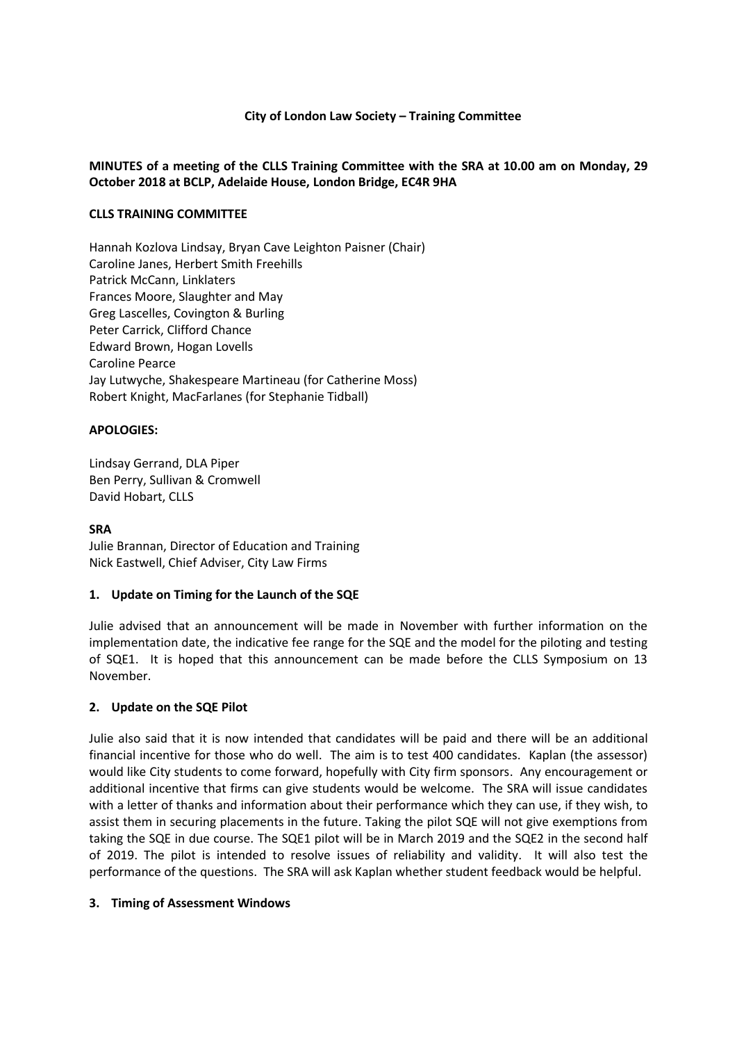#### **City of London Law Society – Training Committee**

## **MINUTES of a meeting of the CLLS Training Committee with the SRA at 10.00 am on Monday, 29 October 2018 at BCLP, Adelaide House, London Bridge, EC4R 9HA**

### **CLLS TRAINING COMMITTEE**

Hannah Kozlova Lindsay, Bryan Cave Leighton Paisner (Chair) Caroline Janes, Herbert Smith Freehills Patrick McCann, Linklaters Frances Moore, Slaughter and May Greg Lascelles, Covington & Burling Peter Carrick, Clifford Chance Edward Brown, Hogan Lovells Caroline Pearce Jay Lutwyche, Shakespeare Martineau (for Catherine Moss) Robert Knight, MacFarlanes (for Stephanie Tidball)

### **APOLOGIES:**

Lindsay Gerrand, DLA Piper Ben Perry, Sullivan & Cromwell David Hobart, CLLS

#### **SRA**

Julie Brannan, Director of Education and Training Nick Eastwell, Chief Adviser, City Law Firms

#### **1. Update on Timing for the Launch of the SQE**

Julie advised that an announcement will be made in November with further information on the implementation date, the indicative fee range for the SQE and the model for the piloting and testing of SQE1. It is hoped that this announcement can be made before the CLLS Symposium on 13 November.

#### **2. Update on the SQE Pilot**

Julie also said that it is now intended that candidates will be paid and there will be an additional financial incentive for those who do well. The aim is to test 400 candidates. Kaplan (the assessor) would like City students to come forward, hopefully with City firm sponsors. Any encouragement or additional incentive that firms can give students would be welcome. The SRA will issue candidates with a letter of thanks and information about their performance which they can use, if they wish, to assist them in securing placements in the future. Taking the pilot SQE will not give exemptions from taking the SQE in due course. The SQE1 pilot will be in March 2019 and the SQE2 in the second half of 2019. The pilot is intended to resolve issues of reliability and validity. It will also test the performance of the questions. The SRA will ask Kaplan whether student feedback would be helpful.

#### **3. Timing of Assessment Windows**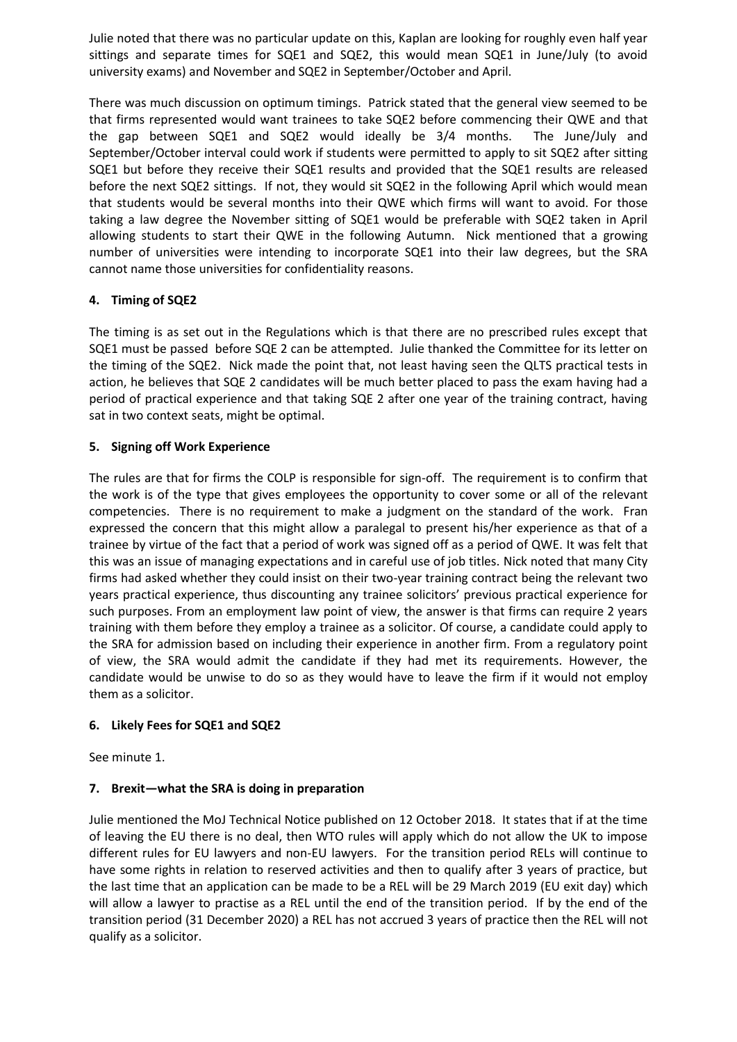Julie noted that there was no particular update on this, Kaplan are looking for roughly even half year sittings and separate times for SQE1 and SQE2, this would mean SQE1 in June/July (to avoid university exams) and November and SQE2 in September/October and April.

There was much discussion on optimum timings. Patrick stated that the general view seemed to be that firms represented would want trainees to take SQE2 before commencing their QWE and that the gap between SQE1 and SQE2 would ideally be 3/4 months. The June/July and September/October interval could work if students were permitted to apply to sit SQE2 after sitting SQE1 but before they receive their SQE1 results and provided that the SQE1 results are released before the next SQE2 sittings. If not, they would sit SQE2 in the following April which would mean that students would be several months into their QWE which firms will want to avoid. For those taking a law degree the November sitting of SQE1 would be preferable with SQE2 taken in April allowing students to start their QWE in the following Autumn. Nick mentioned that a growing number of universities were intending to incorporate SQE1 into their law degrees, but the SRA cannot name those universities for confidentiality reasons.

# **4. Timing of SQE2**

The timing is as set out in the Regulations which is that there are no prescribed rules except that SQE1 must be passed before SQE 2 can be attempted. Julie thanked the Committee for its letter on the timing of the SQE2. Nick made the point that, not least having seen the QLTS practical tests in action, he believes that SQE 2 candidates will be much better placed to pass the exam having had a period of practical experience and that taking SQE 2 after one year of the training contract, having sat in two context seats, might be optimal.

# **5. Signing off Work Experience**

The rules are that for firms the COLP is responsible for sign-off. The requirement is to confirm that the work is of the type that gives employees the opportunity to cover some or all of the relevant competencies. There is no requirement to make a judgment on the standard of the work. Fran expressed the concern that this might allow a paralegal to present his/her experience as that of a trainee by virtue of the fact that a period of work was signed off as a period of QWE. It was felt that this was an issue of managing expectations and in careful use of job titles. Nick noted that many City firms had asked whether they could insist on their two-year training contract being the relevant two years practical experience, thus discounting any trainee solicitors' previous practical experience for such purposes. From an employment law point of view, the answer is that firms can require 2 years training with them before they employ a trainee as a solicitor. Of course, a candidate could apply to the SRA for admission based on including their experience in another firm. From a regulatory point of view, the SRA would admit the candidate if they had met its requirements. However, the candidate would be unwise to do so as they would have to leave the firm if it would not employ them as a solicitor.

# **6. Likely Fees for SQE1 and SQE2**

See minute 1.

# **7. Brexit—what the SRA is doing in preparation**

Julie mentioned the MoJ Technical Notice published on 12 October 2018. It states that if at the time of leaving the EU there is no deal, then WTO rules will apply which do not allow the UK to impose different rules for EU lawyers and non-EU lawyers. For the transition period RELs will continue to have some rights in relation to reserved activities and then to qualify after 3 years of practice, but the last time that an application can be made to be a REL will be 29 March 2019 (EU exit day) which will allow a lawyer to practise as a REL until the end of the transition period. If by the end of the transition period (31 December 2020) a REL has not accrued 3 years of practice then the REL will not qualify as a solicitor.